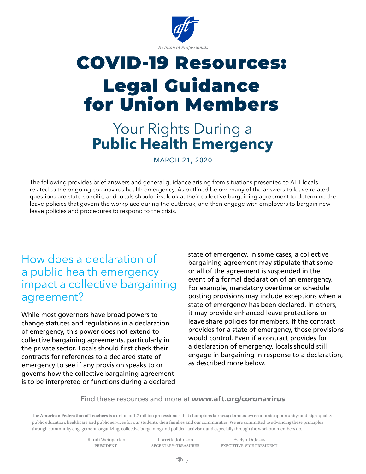

# COVID-19 Resources: Legal Guidance for Union Members

## Your Rights During a **Public Health Emergency**

march 21, 2020

The following provides brief answers and general guidance arising from situations presented to AFT locals related to the ongoing coronavirus health emergency. As outlined below, many of the answers to leave-related questions are state-specific, and locals should first look at their collective bargaining agreement to determine the leave policies that govern the workplace during the outbreak, and then engage with employers to bargain new leave policies and procedures to respond to the crisis.

#### How does a declaration of a public health emergency impact a collective bargaining agreement?

While most governors have broad powers to change statutes and regulations in a declaration of emergency, this power does not extend to collective bargaining agreements, particularly in the private sector. Locals should first check their contracts for references to a declared state of emergency to see if any provision speaks to or governs how the collective bargaining agreement is to be interpreted or functions during a declared state of emergency. In some cases, a collective bargaining agreement may stipulate that some or all of the agreement is suspended in the event of a formal declaration of an emergency. For example, mandatory overtime or schedule posting provisions may include exceptions when a state of emergency has been declared. In others, it may provide enhanced leave protections or leave share policies for members. If the contract provides for a state of emergency, those provisions would control. Even if a contract provides for a declaration of emergency, locals should still engage in bargaining in response to a declaration, as described more below.

#### Find these resources and more at [www.aft.org/coronavirus](http://www.aft.org/coronavirus)

The **American Federation of Teachers** is a union of 1.7 million professionals that champions fairness; democracy; economic opportunity; and high-quality public education, healthcare and public services for our students, their families and our communities. We are committed to advancing these principles through community engagement, organizing, collective bargaining and political activism, and especially through the work our members do.

Randi Weingarten Lorretta Johnson Evelyn DeJesus

president secretary-treasurer executive vice president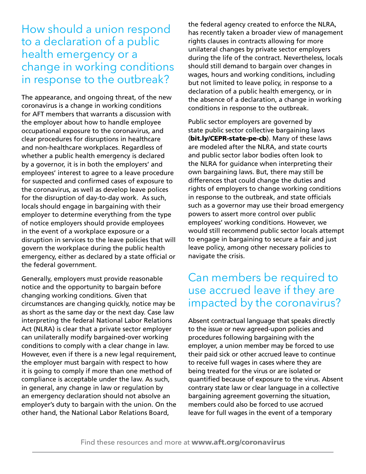### How should a union respond to a declaration of a public health emergency or a change in working conditions in response to the outbreak?

The appearance, and ongoing threat, of the new coronavirus is a change in working conditions for AFT members that warrants a discussion with the employer about how to handle employee occupational exposure to the coronavirus, and clear procedures for disruptions in healthcare and non-healthcare workplaces. Regardless of whether a public health emergency is declared by a governor, it is in both the employers' and employees' interest to agree to a leave procedure for suspected and confirmed cases of exposure to the coronavirus, as well as develop leave polices for the disruption of day-to-day work. As such, locals should engage in bargaining with their employer to determine everything from the type of notice employers should provide employees in the event of a workplace exposure or a disruption in services to the leave policies that will govern the workplace during the public health emergency, either as declared by a state official or the federal government.

Generally, employers must provide reasonable notice and the opportunity to bargain before changing working conditions. Given that circumstances are changing quickly, notice may be as short as the same day or the next day. Case law interpreting the federal National Labor Relations Act (NLRA) is clear that a private sector employer can unilaterally modify bargained-over working conditions to comply with a clear change in law. However, even if there is a new legal requirement, the employer must bargain with respect to how it is going to comply if more than one method of compliance is acceptable under the law. As such, in general, any change in law or regulation by an emergency declaration should not absolve an employer's duty to bargain with the union. On the other hand, the National Labor Relations Board,

the federal agency created to enforce the NLRA, has recently taken a broader view of management rights clauses in contracts allowing for more unilateral changes by private sector employers during the life of the contract. Nevertheless, locals should still demand to bargain over changes in wages, hours and working conditions, including but not limited to leave policy, in response to a declaration of a public health emergency, or in the absence of a declaration, a change in working conditions in response to the outbreak.

Public sector employers are governed by state public sector collective bargaining laws ([bit.ly/CEPR-state-pe-cb](http://bit.ly/CEPR-state-pe-cb)). Many of these laws are modeled after the NLRA, and state courts and public sector labor bodies often look to the NLRA for guidance when interpreting their own bargaining laws. But, there may still be differences that could change the duties and rights of employers to change working conditions in response to the outbreak, and state officials such as a governor may use their broad emergency powers to assert more control over public employees' working conditions. However, we would still recommend public sector locals attempt to engage in bargaining to secure a fair and just leave policy, among other necessary policies to navigate the crisis.

### Can members be required to use accrued leave if they are impacted by the coronavirus?

Absent contractual language that speaks directly to the issue or new agreed-upon policies and procedures following bargaining with the employer, a union member may be forced to use their paid sick or other accrued leave to continue to receive full wages in cases where they are being treated for the virus or are isolated or quantified because of exposure to the virus. Absent contrary state law or clear language in a collective bargaining agreement governing the situation, members could also be forced to use accrued leave for full wages in the event of a temporary

Find these resources and more at [www.aft.org/coronavirus](http://www.aft.org/coronavirus)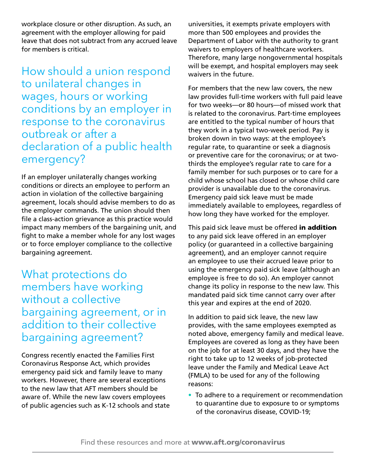workplace closure or other disruption. As such, an agreement with the employer allowing for paid leave that does not subtract from any accrued leave for members is critical.

How should a union respond to unilateral changes in wages, hours or working conditions by an employer in response to the coronavirus outbreak or after a declaration of a public health emergency?

If an employer unilaterally changes working conditions or directs an employee to perform an action in violation of the collective bargaining agreement, locals should advise members to do as the employer commands. The union should then file a class-action grievance as this practice would impact many members of the bargaining unit, and fight to make a member whole for any lost wages or to force employer compliance to the collective bargaining agreement.

What protections do members have working without a collective bargaining agreement, or in addition to their collective bargaining agreement?

Congress recently enacted the Families First Coronavirus Response Act, which provides emergency paid sick and family leave to many workers. However, there are several exceptions to the new law that AFT members should be aware of. While the new law covers employees of public agencies such as K-12 schools and state universities, it exempts private employers with more than 500 employees and provides the Department of Labor with the authority to grant waivers to employers of healthcare workers. Therefore, many large nongovernmental hospitals will be exempt, and hospital employers may seek waivers in the future.

For members that the new law covers, the new law provides full-time workers with full paid leave for two weeks—or 80 hours—of missed work that is related to the coronavirus. Part-time employees are entitled to the typical number of hours that they work in a typical two-week period. Pay is broken down in two ways: at the employee's regular rate, to quarantine or seek a diagnosis or preventive care for the coronavirus; or at twothirds the employee's regular rate to care for a family member for such purposes or to care for a child whose school has closed or whose child care provider is unavailable due to the coronavirus. Emergency paid sick leave must be made immediately available to employees, regardless of how long they have worked for the employer.

This paid sick leave must be offered in addition to any paid sick leave offered in an employer policy (or guaranteed in a collective bargaining agreement), and an employer cannot require an employee to use their accrued leave prior to using the emergency paid sick leave (although an employee is free to do so). An employer cannot change its policy in response to the new law. This mandated paid sick time cannot carry over after this year and expires at the end of 2020.

In addition to paid sick leave, the new law provides, with the same employees exempted as noted above, emergency family and medical leave. Employees are covered as long as they have been on the job for at least 30 days, and they have the right to take up to 12 weeks of job-protected leave under the Family and Medical Leave Act (FMLA) to be used for any of the following reasons:

• To adhere to a requirement or recommendation to quarantine due to exposure to or symptoms of the coronavirus disease, COVID-19;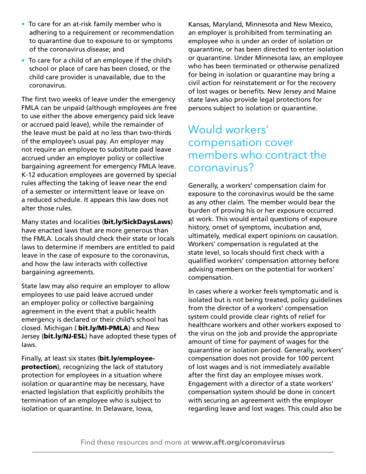- To care for an at-risk family member who is adhering to a requirement or recommendation to quarantine due to exposure to or symptoms of the coronavirus disease; and
- To care for a child of an employee if the child's school or place of care has been closed, or the child care provider is unavailable, due to the coronavirus.

The first two weeks of leave under the emergency FMLA can be unpaid (although employees are free to use either the above emergency paid sick leave or accrued paid leave), while the remainder of the leave must be paid at no less than two-thirds of the employee's usual pay. An employer may not require an employee to substitute paid leave accrued under an employer policy or collective bargaining agreement for emergency FMLA leave. K-12 education employees are governed by special rules affecting the taking of leave near the end of a semester or intermittent leave or leave on a reduced schedule. It appears this law does not alter those rules.

[Many states and localities](https://www.nationalpartnership.org/our-work/resources/economic-justice/paid-sick-days/paid-sick-days-statutes.pdf) ([bit.ly/SickDaysLaws](http://bit.ly/SickDaysLaws)) have enacted laws that are more generous than the FMLA. Locals should check their state or locals laws to determine if members are entitled to paid leave in the case of exposure to the coronavirus, and how the law interacts with collective bargaining agreements.

State law may also require an employer to allow employees to use paid leave accrued under an employer policy or collective bargaining agreement in the event that a public health emergency is declared or their child's school has closed. [Michigan](http://www.legislature.mi.gov/documents/2017-2018/publicact/pdf/2018-PA-0369.pdf) ( [bit.ly/MI-PMLA](http://bit.ly/MI-PMLA)) and New Jersey ([bit.ly/NJ-ESL](http://bit.ly/NJ-ESL)) have adopted these types of laws.

Finally, [at least six states](https://biotech.law.lsu.edu/blaw/H1N1-2009/R40560_20090521.pdf) ([bit.ly/employee](http://bit.ly/employee-protection)[protection](http://bit.ly/employee-protection)), recognizing the lack of statutory protection for employees in a situation where isolation or quarantine may be necessary, have enacted legislation that explicitly prohibits the termination of an employee who is subject to isolation or quarantine. In Delaware, Iowa,

Kansas, Maryland, Minnesota and New Mexico, an employer is prohibited from terminating an employee who is under an order of isolation or quarantine, or has been directed to enter isolation or quarantine. Under Minnesota law, an employee who has been terminated or otherwise penalized for being in isolation or quarantine may bring a civil action for reinstatement or for the recovery of lost wages or benefits. New Jersey and Maine state laws also provide legal protections for persons subject to isolation or quarantine.

### Would workers' compensation cover members who contract the coronavirus?

Generally, a workers' compensation claim for exposure to the coronavirus would be the same as any other claim. The member would bear the burden of proving his or her exposure occurred at work. This would entail questions of exposure history, onset of symptoms, incubation and, ultimately, medical expert opinions on causation. Workers' compensation is regulated at the state level, so locals should first check with a qualified workers' compensation attorney before advising members on the potential for workers' compensation.

In cases where a worker feels symptomatic and is isolated but is not being treated, policy guidelines from the director of a workers' compensation system could provide clear rights of relief for healthcare workers and other workers exposed to the virus on the job and provide the appropriate amount of time for payment of wages for the quarantine or isolation period. Generally, workers' compensation does not provide for 100 percent of lost wages and is not immediately available after the first day an employee misses work. Engagement with a director of a state workers' compensation system should be done in concert with securing an agreement with the employer regarding leave and lost wages. This could also be

Find these resources and more at [www.aft.org/coronavirus](http://www.aft.org/coronavirus)